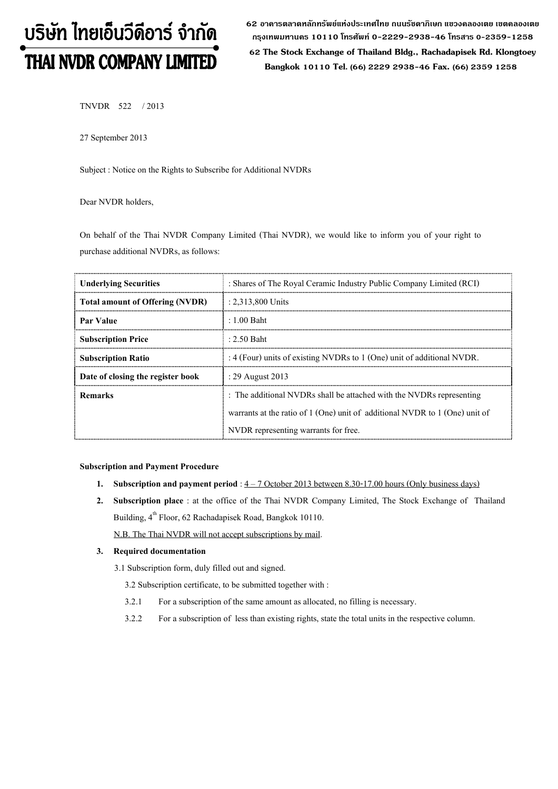# บริษัท ไทยเอ็นวีดีอาร์ จำกัด THAI NVDR COMPANY LIMITED

62 อาดารตลาดหลักทรัพย์แห่งประเทศไทย ถนนรัชดาภิเษก แขวงดลองเตย เขตดลองเตย กรุงเทพมหานดร 10110 โทรศัพท์ 0-2229-2938-46 โทรสาร 0-2359-1258

 62 The Stock Exchange of Thailand Bldg., Rachadapisek Rd. Klongtoey Bangkok 10110 Tel. (66) 2229 2938-46 Fax. (66) 2359 1258

TNVDR 522 / 2013

27 September 2013

Subject : Notice on the Rights to Subscribe for Additional NVDRs

Dear NVDR holders,

On behalf of the Thai NVDR Company Limited (Thai NVDR), we would like to inform you of your right to purchase additional NVDRs, as follows:

| <b>Underlying Securities</b>           | : Shares of The Royal Ceramic Industry Public Company Limited (RCI)         |
|----------------------------------------|-----------------------------------------------------------------------------|
| <b>Total amount of Offering (NVDR)</b> | $: 2.313,800$ Units                                                         |
| <b>Par Value</b>                       | $\pm 1.00$ Baht                                                             |
| <b>Subscription Price</b>              | $\pm 2.50$ Baht                                                             |
| <b>Subscription Ratio</b>              | : 4 (Four) units of existing NVDRs to $1$ (One) unit of additional NVDR.    |
| Date of closing the register book      | : 29 August 2013                                                            |
| Remarks                                | : The additional NVDRs shall be attached with the NVDRs representing        |
|                                        | warrants at the ratio of 1 (One) unit of additional NVDR to 1 (One) unit of |
|                                        | NVDR representing warrants for free.                                        |

#### Subscription and Payment Procedure

- 1. Subscription and payment period :  $4 7$  October 2013 between 8.30-17.00 hours (Only business days)
- 2. Subscription place : at the office of the Thai NVDR Company Limited, The Stock Exchange of Thailand Building, 4<sup>th</sup> Floor, 62 Rachadapisek Road, Bangkok 10110.

N.B. The Thai NVDR will not accept subscriptions by mail.

#### 3. Required documentation

3.1 Subscription form, duly filled out and signed.

3.2 Subscription certificate, to be submitted together with :

- 3.2.1 For a subscription of the same amount as allocated, no filling is necessary.
- 3.2.2 For a subscription of less than existing rights, state the total units in the respective column.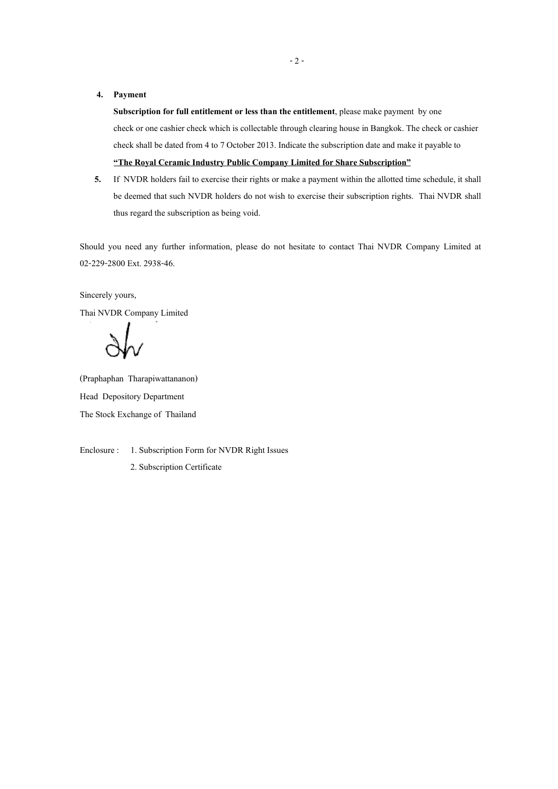#### 4. Payment

Subscription for full entitlement or less than the entitlement, please make payment by one check or one cashier check which is collectable through clearing house in Bangkok. The check or cashier check shall be dated from 4 to 7 October 2013. Indicate the subscription date and make it payable to "The Royal Ceramic Industry Public Company Limited for Share Subscription"

5. If NVDR holders fail to exercise their rights or make a payment within the allotted time schedule, it shall be deemed that such NVDR holders do not wish to exercise their subscription rights. Thai NVDR shall thus regard the subscription as being void.

Should you need any further information, please do not hesitate to contact Thai NVDR Company Limited at 02-229-2800 Ext. 2938-46.

## Sincerely yours,

Thai NVDR Company Limited

(Praphaphan Tharapiwattananon) Head Depository Department The Stock Exchange of Thailand

Enclosure : 1. Subscription Form for NVDR Right Issues

2. Subscription Certificate